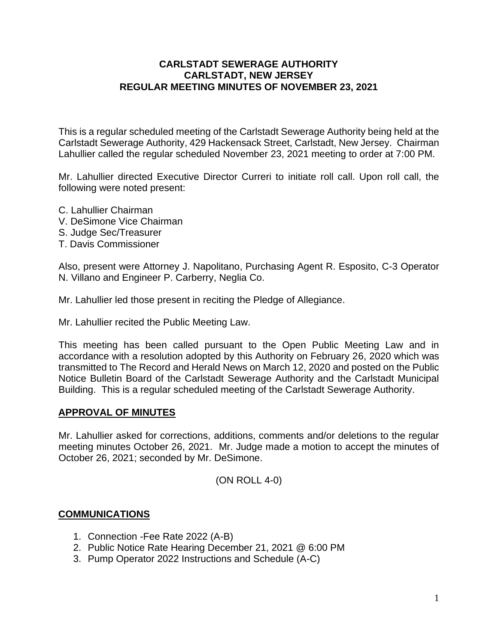### **CARLSTADT SEWERAGE AUTHORITY CARLSTADT, NEW JERSEY REGULAR MEETING MINUTES OF NOVEMBER 23, 2021**

This is a regular scheduled meeting of the Carlstadt Sewerage Authority being held at the Carlstadt Sewerage Authority, 429 Hackensack Street, Carlstadt, New Jersey. Chairman Lahullier called the regular scheduled November 23, 2021 meeting to order at 7:00 PM.

Mr. Lahullier directed Executive Director Curreri to initiate roll call. Upon roll call, the following were noted present:

- C. Lahullier Chairman
- V. DeSimone Vice Chairman
- S. Judge Sec/Treasurer
- T. Davis Commissioner

Also, present were Attorney J. Napolitano, Purchasing Agent R. Esposito, C-3 Operator N. Villano and Engineer P. Carberry, Neglia Co.

Mr. Lahullier led those present in reciting the Pledge of Allegiance.

Mr. Lahullier recited the Public Meeting Law.

This meeting has been called pursuant to the Open Public Meeting Law and in accordance with a resolution adopted by this Authority on February 26, 2020 which was transmitted to The Record and Herald News on March 12, 2020 and posted on the Public Notice Bulletin Board of the Carlstadt Sewerage Authority and the Carlstadt Municipal Building. This is a regular scheduled meeting of the Carlstadt Sewerage Authority.

### **APPROVAL OF MINUTES**

Mr. Lahullier asked for corrections, additions, comments and/or deletions to the regular meeting minutes October 26, 2021. Mr. Judge made a motion to accept the minutes of October 26, 2021; seconded by Mr. DeSimone.

(ON ROLL 4-0)

### **COMMUNICATIONS**

- 1. Connection -Fee Rate 2022 (A-B)
- 2. Public Notice Rate Hearing December 21, 2021 @ 6:00 PM
- 3. Pump Operator 2022 Instructions and Schedule (A-C)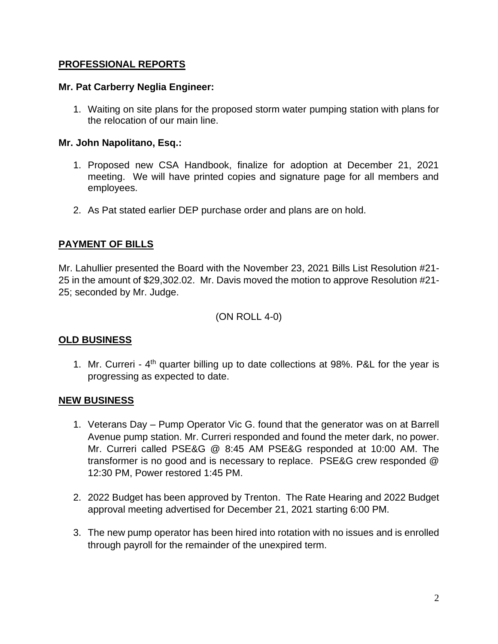### **PROFESSIONAL REPORTS**

### **Mr. Pat Carberry Neglia Engineer:**

1. Waiting on site plans for the proposed storm water pumping station with plans for the relocation of our main line.

### **Mr. John Napolitano, Esq.:**

- 1. Proposed new CSA Handbook, finalize for adoption at December 21, 2021 meeting. We will have printed copies and signature page for all members and employees.
- 2. As Pat stated earlier DEP purchase order and plans are on hold.

# **PAYMENT OF BILLS**

Mr. Lahullier presented the Board with the November 23, 2021 Bills List Resolution #21- 25 in the amount of \$29,302.02. Mr. Davis moved the motion to approve Resolution #21- 25; seconded by Mr. Judge.

### (ON ROLL 4-0)

# **OLD BUSINESS**

1. Mr. Curreri -  $4<sup>th</sup>$  quarter billing up to date collections at 98%. P&L for the year is progressing as expected to date.

# **NEW BUSINESS**

- 1. Veterans Day Pump Operator Vic G. found that the generator was on at Barrell Avenue pump station. Mr. Curreri responded and found the meter dark, no power. Mr. Curreri called PSE&G @ 8:45 AM PSE&G responded at 10:00 AM. The transformer is no good and is necessary to replace. PSE&G crew responded @ 12:30 PM, Power restored 1:45 PM.
- 2. 2022 Budget has been approved by Trenton. The Rate Hearing and 2022 Budget approval meeting advertised for December 21, 2021 starting 6:00 PM.
- 3. The new pump operator has been hired into rotation with no issues and is enrolled through payroll for the remainder of the unexpired term.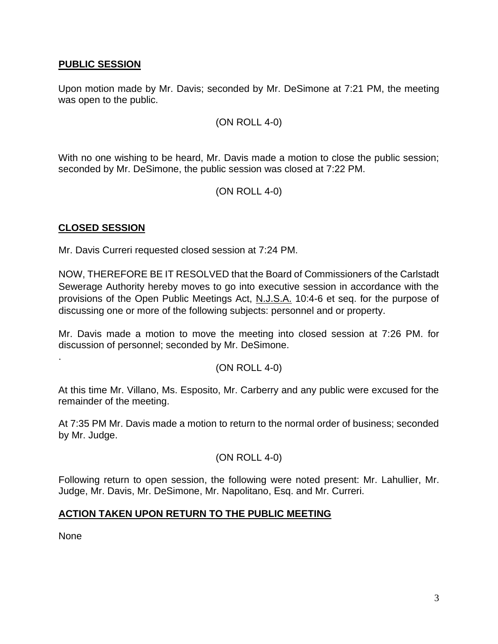### **PUBLIC SESSION**

Upon motion made by Mr. Davis; seconded by Mr. DeSimone at 7:21 PM, the meeting was open to the public.

#### (ON ROLL 4-0)

With no one wishing to be heard, Mr. Davis made a motion to close the public session; seconded by Mr. DeSimone, the public session was closed at 7:22 PM.

### (ON ROLL 4-0)

### **CLOSED SESSION**

Mr. Davis Curreri requested closed session at 7:24 PM.

NOW, THEREFORE BE IT RESOLVED that the Board of Commissioners of the Carlstadt Sewerage Authority hereby moves to go into executive session in accordance with the provisions of the Open Public Meetings Act, N.J.S.A. 10:4-6 et seq. for the purpose of discussing one or more of the following subjects: personnel and or property.

Mr. Davis made a motion to move the meeting into closed session at 7:26 PM. for discussion of personnel; seconded by Mr. DeSimone.

### (ON ROLL 4-0)

At this time Mr. Villano, Ms. Esposito, Mr. Carberry and any public were excused for the remainder of the meeting.

At 7:35 PM Mr. Davis made a motion to return to the normal order of business; seconded by Mr. Judge.

### (ON ROLL 4-0)

Following return to open session, the following were noted present: Mr. Lahullier, Mr. Judge, Mr. Davis, Mr. DeSimone, Mr. Napolitano, Esq. and Mr. Curreri.

### **ACTION TAKEN UPON RETURN TO THE PUBLIC MEETING**

None

.